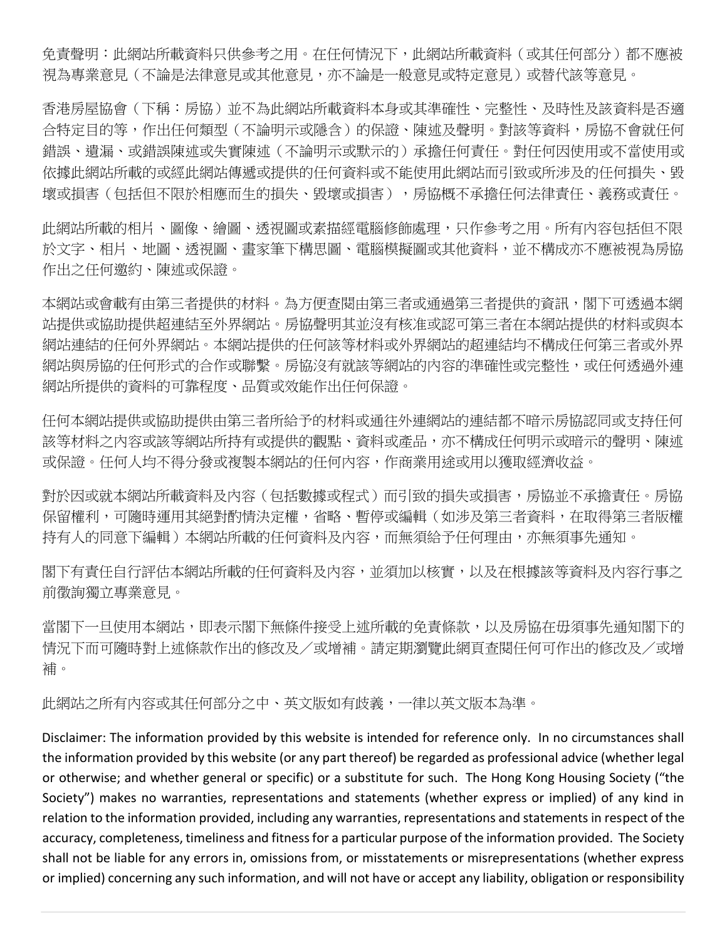免責聲明:此網站所載資料只供參考之用。在任何情況下,此網站所載資料(或其任何部分)都不應被 視為專業意見(不論是法律意見或其他意見,亦不論是一般意見或特定意見)或替代該等意見。

香港房屋協會(下稱:房協)並不為此網站所載資料本身或其準確性、完整性、及時性及該資料是否適 合特定目的等,作出任何類型(不論明示或隱含)的保證、陳述及聲明。對該等資料,房協不會就任何 錯誤、遺漏、或錯誤陳述或失實陳述(不論明示或默示的)承擔任何責任。對任何因使用或不當使用或 依據此網站所載的或經此網站傳遞或提供的任何資料或不能使用此網站而引致或所涉及的任何損失、毀 壞或損害(包括但不限於相應而生的損失、毀壞或損害),房協概不承擔任何法律責任、義務或責任。

此網站所載的相片、圖像、繪圖、透視圖或素描經電腦修飾處理,只作參考之用。所有內容包括但不限 於文字、相片、地圖、透視圖、書家筆下構思圖、電腦模擬圖或其他資料,並不構成亦不應被視為房協 作出之任何邀約、陳述或保證。

本網站或會載有由第三者提供的材料。為方便查閱由第三者或通過第三者提供的資訊,閣下可透過本網 站提供或協助提供超連結至外界網站。房協聲明其並沒有核准或認可第三者在本網站提供的材料或與本 網站連結的任何外界網站。本網站提供的任何該等材料或外界網站的超連結均不構成任何第三者或外界 網站與房協的任何形式的合作或聯繫。房協沒有就該等網站的內容的準確性或完整性,或任何透過外連 網站所提供的資料的可靠程度、品質或效能作出任何保證。

任何本網站提供或協助提供由第三者所給予的材料或通往外連網站的連結都不暗示房協認同或支持任何 該等材料之內容或該等網站所持有或提供的觀點、資料或產品,亦不構成任何明示或暗示的聲明、陳述 或保證。任何人均不得分發或複製本網站的任何內容,作商業用途或用以獲取經濟收益。

對於因或就本網站所載資料及內容(包括數據或程式)而引致的損失或損害,房協並不承擔責任。房協 保留權利,可隨時運用其絕對酌情決定權,省略、暫停或編輯(如涉及第三者資料,在取得第三者版權 持有人的同意下編輯)本網站所載的任何資料及內容,而無須給予任何理由,亦無須事先通知。

閣下有責任自行評估本網站所載的任何資料及內容,並須加以核實,以及在根據該等資料及內容行事之 前徵詢獨立專業意見。

當閣下一旦使用本網站,即表示閣下無條件接受上述所載的免責條款,以及房協在毋須事先通知閣下的 情況下而可隨時對上述條款作出的修改及/或增補。請定期瀏覽此網頁查閱任何可作出的修改及/或增 補。

此網站之所有內容或其任何部分之中、英文版如有歧義,一律以英文版本為準。

Disclaimer: The information provided by this website is intended for reference only. In no circumstances shall the information provided by this website (or any part thereof) be regarded as professional advice (whether legal or otherwise; and whether general or specific) or a substitute for such. The Hong Kong Housing Society ("the Society") makes no warranties, representations and statements (whether express or implied) of any kind in relation to the information provided, including any warranties, representations and statements in respect of the accuracy, completeness, timeliness and fitness for a particular purpose of the information provided. The Society shall not be liable for any errors in, omissions from, or misstatements or misrepresentations (whether express or implied) concerning any such information, and will not have or accept any liability, obligation or responsibility